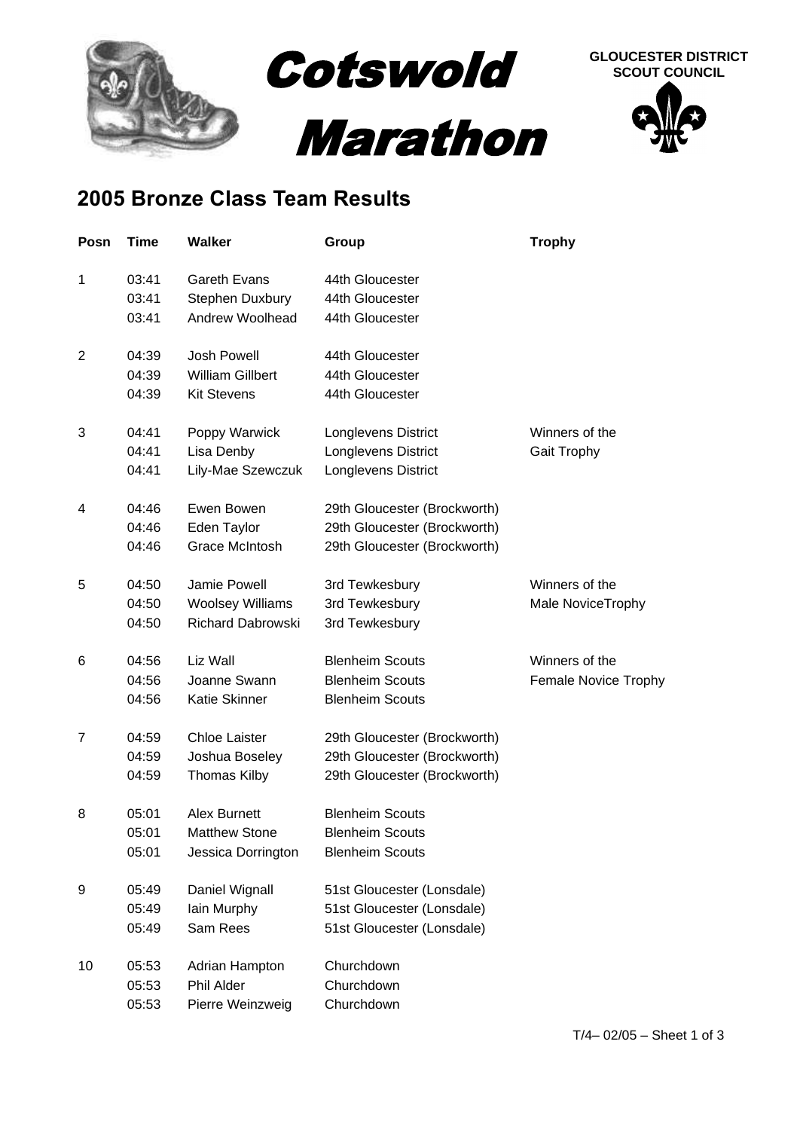

## **2005 Bronze Class Team Results**

| Posn           | Time  | <b>Walker</b>            | Group                        | <b>Trophy</b>        |
|----------------|-------|--------------------------|------------------------------|----------------------|
| 1              | 03:41 | Gareth Evans             | 44th Gloucester              |                      |
|                | 03:41 | Stephen Duxbury          | 44th Gloucester              |                      |
|                | 03:41 | Andrew Woolhead          | 44th Gloucester              |                      |
| $\overline{2}$ | 04:39 | <b>Josh Powell</b>       | 44th Gloucester              |                      |
|                | 04:39 | <b>William Gillbert</b>  | 44th Gloucester              |                      |
|                | 04:39 | <b>Kit Stevens</b>       | 44th Gloucester              |                      |
| 3              | 04:41 | Poppy Warwick            | Longlevens District          | Winners of the       |
|                | 04:41 | Lisa Denby               | Longlevens District          | Gait Trophy          |
|                | 04:41 | Lily-Mae Szewczuk        | Longlevens District          |                      |
| 4              | 04:46 | Ewen Bowen               | 29th Gloucester (Brockworth) |                      |
|                | 04:46 | Eden Taylor              | 29th Gloucester (Brockworth) |                      |
|                | 04:46 | <b>Grace McIntosh</b>    | 29th Gloucester (Brockworth) |                      |
| 5              | 04:50 | Jamie Powell             | 3rd Tewkesbury               | Winners of the       |
|                | 04:50 | <b>Woolsey Williams</b>  | 3rd Tewkesbury               | Male NoviceTrophy    |
|                | 04:50 | <b>Richard Dabrowski</b> | 3rd Tewkesbury               |                      |
| 6              | 04:56 | Liz Wall                 | <b>Blenheim Scouts</b>       | Winners of the       |
|                | 04:56 | Joanne Swann             | <b>Blenheim Scouts</b>       | Female Novice Trophy |
|                | 04:56 | Katie Skinner            | <b>Blenheim Scouts</b>       |                      |
| $\overline{7}$ | 04:59 | Chloe Laister            | 29th Gloucester (Brockworth) |                      |
|                | 04:59 | Joshua Boseley           | 29th Gloucester (Brockworth) |                      |
|                | 04:59 | <b>Thomas Kilby</b>      | 29th Gloucester (Brockworth) |                      |
| 8              | 05:01 | <b>Alex Burnett</b>      | <b>Blenheim Scouts</b>       |                      |
|                | 05:01 | <b>Matthew Stone</b>     | <b>Blenheim Scouts</b>       |                      |
|                | 05:01 | Jessica Dorrington       | <b>Blenheim Scouts</b>       |                      |
| 9              | 05:49 | Daniel Wignall           | 51st Gloucester (Lonsdale)   |                      |
|                | 05:49 | lain Murphy              | 51st Gloucester (Lonsdale)   |                      |
|                | 05:49 | Sam Rees                 | 51st Gloucester (Lonsdale)   |                      |
| 10             | 05:53 | Adrian Hampton           | Churchdown                   |                      |
|                | 05:53 | Phil Alder               | Churchdown                   |                      |
|                | 05:53 | Pierre Weinzweig         | Churchdown                   |                      |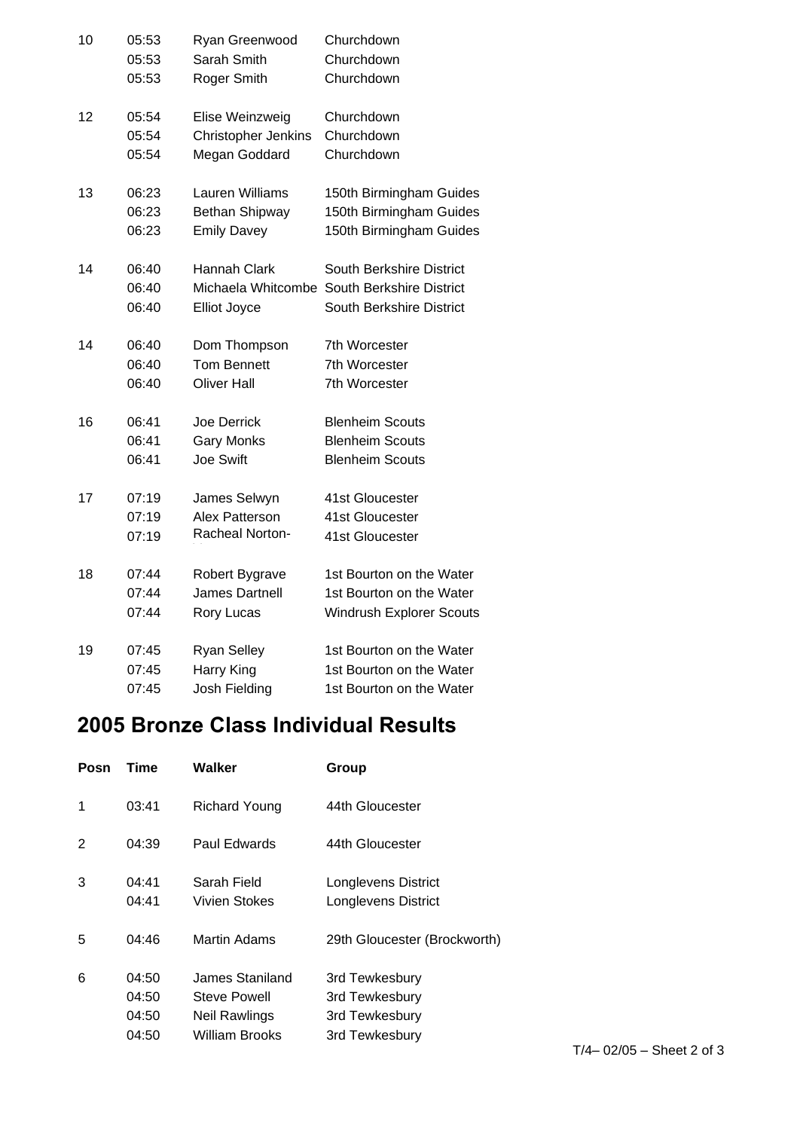| 10 | 05:53 | Ryan Greenwood         | Churchdown                                  |
|----|-------|------------------------|---------------------------------------------|
|    | 05:53 | Sarah Smith            | Churchdown                                  |
|    | 05:53 | Roger Smith            | Churchdown                                  |
| 12 | 05:54 | Elise Weinzweig        | Churchdown                                  |
|    | 05:54 | Christopher Jenkins    | Churchdown                                  |
|    | 05:54 | Megan Goddard          | Churchdown                                  |
| 13 | 06:23 | Lauren Williams        | 150th Birmingham Guides                     |
|    | 06:23 | <b>Bethan Shipway</b>  | 150th Birmingham Guides                     |
|    | 06:23 | <b>Emily Davey</b>     | 150th Birmingham Guides                     |
| 14 | 06:40 | Hannah Clark           | South Berkshire District                    |
|    | 06:40 |                        | Michaela Whitcombe South Berkshire District |
|    | 06:40 | <b>Elliot Joyce</b>    | South Berkshire District                    |
| 14 | 06:40 | Dom Thompson           | 7th Worcester                               |
|    | 06:40 | <b>Tom Bennett</b>     | 7th Worcester                               |
|    | 06:40 | <b>Oliver Hall</b>     | 7th Worcester                               |
| 16 | 06:41 | Joe Derrick            | <b>Blenheim Scouts</b>                      |
|    | 06:41 | <b>Gary Monks</b>      | <b>Blenheim Scouts</b>                      |
|    | 06:41 | Joe Swift              | <b>Blenheim Scouts</b>                      |
| 17 | 07:19 | James Selwyn           | 41st Gloucester                             |
|    | 07:19 | Alex Patterson         | 41st Gloucester                             |
|    | 07:19 | <b>Racheal Norton-</b> | 41st Gloucester                             |
| 18 | 07:44 | Robert Bygrave         | 1st Bourton on the Water                    |
|    | 07:44 | James Dartnell         | 1st Bourton on the Water                    |
|    | 07:44 | Rory Lucas             | <b>Windrush Explorer Scouts</b>             |
| 19 | 07:45 | <b>Ryan Selley</b>     | 1st Bourton on the Water                    |
|    | 07:45 | Harry King             | 1st Bourton on the Water                    |
|    | 07:45 | Josh Fielding          | 1st Bourton on the Water                    |

## **2005 Bronze Class Individual Results**

| Posn | Time                             | Walker                                                             | Group                                                                |
|------|----------------------------------|--------------------------------------------------------------------|----------------------------------------------------------------------|
| 1    | 03:41                            | <b>Richard Young</b>                                               | 44th Gloucester                                                      |
| 2    | 04:39                            | Paul Edwards                                                       | 44th Gloucester                                                      |
| 3    | 04:41<br>04:41                   | Sarah Field<br>Vivien Stokes                                       | Longlevens District<br>Longlevens District                           |
| 5    | 04:46                            | Martin Adams                                                       | 29th Gloucester (Brockworth)                                         |
| 6    | 04:50<br>04:50<br>04:50<br>04:50 | James Staniland<br>Steve Powell<br>Neil Rawlings<br>William Brooks | 3rd Tewkesbury<br>3rd Tewkesbury<br>3rd Tewkesbury<br>3rd Tewkesbury |
|      |                                  |                                                                    |                                                                      |